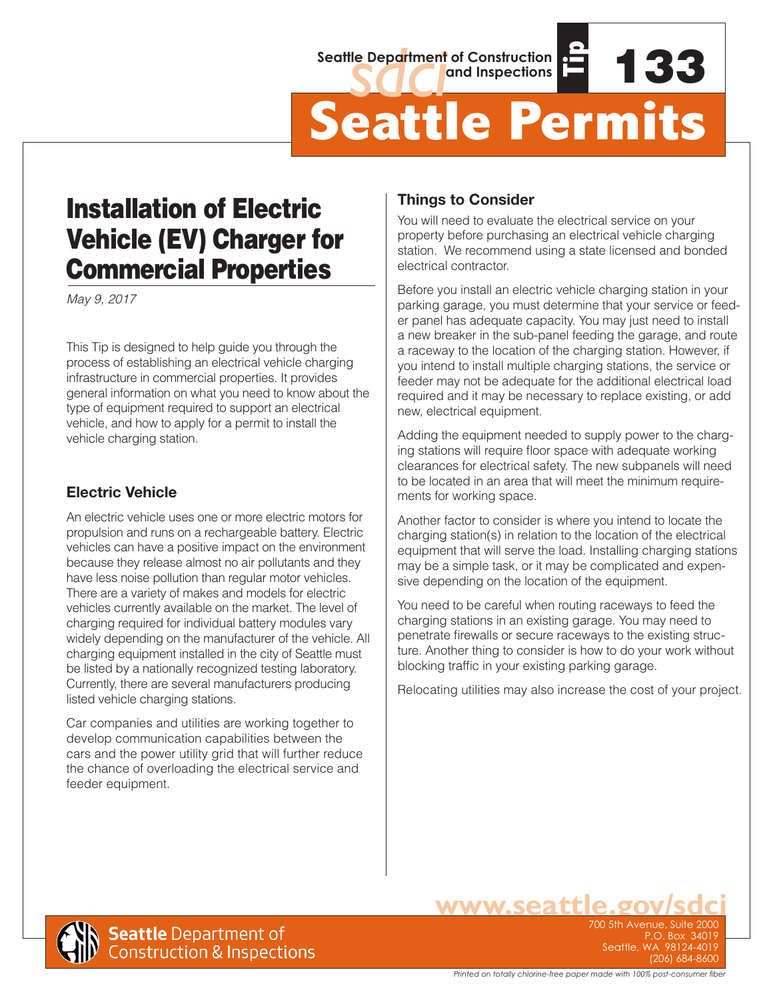#### **Seattle Department of Construction and Inspections**



# Installation of Electric Vehicle (EV) Charger for Commercial Properties

*May 9, 2017*

This Tip is designed to help guide you through the process of establishing an electrical vehicle charging infrastructure in commercial properties. It provides general information on what you need to know about the type of equipment required to support an electrical vehicle, and how to apply for a permit to install the vehicle charging station.

#### **Electric Vehicle**

An electric vehicle uses one or more electric motors for propulsion and runs on a rechargeable battery. Electric vehicles can have a positive impact on the environment because they release almost no air pollutants and they have less noise pollution than regular motor vehicles. There are a variety of makes and models for electric vehicles currently available on the market. The level of charging required for individual battery modules vary widely depending on the manufacturer of the vehicle. All charging equipment installed in the city of Seattle must be listed by a nationally recognized testing laboratory. Currently, there are several manufacturers producing listed vehicle charging stations.

Car companies and utilities are working together to develop communication capabilities between the cars and the power utility grid that will further reduce the chance of overloading the electrical service and feeder equipment.

#### **Things to Consider**

You will need to evaluate the electrical service on your property before purchasing an electrical vehicle charging station. We recommend using a state licensed and bonded electrical contractor.

**Tip**

Before you install an electric vehicle charging station in your parking garage, you must determine that your service or feeder panel has adequate capacity. You may just need to install a new breaker in the sub-panel feeding the garage, and route a raceway to the location of the charging station. However, if you intend to install multiple charging stations, the service or feeder may not be adequate for the additional electrical load required and it may be necessary to replace existing, or add new, electrical equipment.

Adding the equipment needed to supply power to the charging stations will require floor space with adequate working clearances for electrical safety. The new subpanels will need to be located in an area that will meet the minimum requirements for working space.

Another factor to consider is where you intend to locate the charging station(s) in relation to the location of the electrical equipment that will serve the load. Installing charging stations may be a simple task, or it may be complicated and expensive depending on the location of the equipment.

You need to be careful when routing raceways to feed the charging stations in an existing garage. You may need to penetrate firewalls or secure raceways to the existing structure. Another thing to consider is how to do your work without blocking traffic in your existing parking garage.

Relocating utilities may also increase the cost of your project.



P.O. Box 34019 P.O. Box 34019 Seattle, WA 98124-4019 Seattle, WA 98124-4019 (206) 684-8600 (206) 684-8600 700 5th Avenue, Suite 2000

**WWW.SO**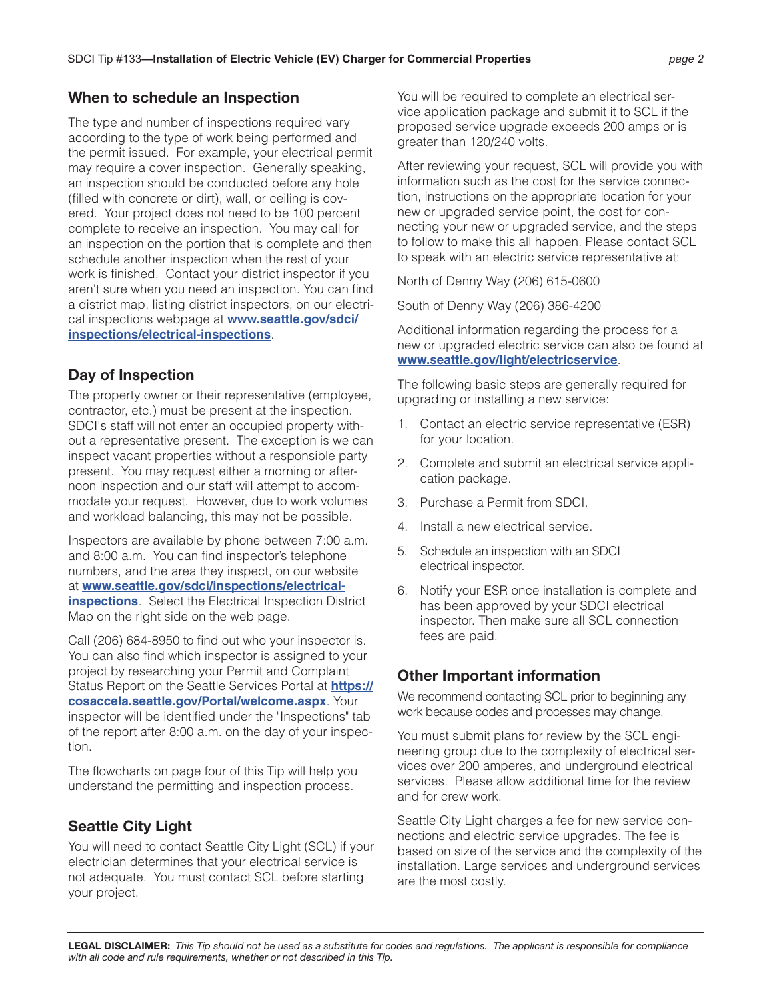#### **When to schedule an Inspection**

The type and number of inspections required vary according to the type of work being performed and the permit issued. For example, your electrical permit may require a cover inspection. Generally speaking, an inspection should be conducted before any hole (filled with concrete or dirt), wall, or ceiling is covered. Your project does not need to be 100 percent complete to receive an inspection. You may call for an inspection on the portion that is complete and then schedule another inspection when the rest of your work is finished. Contact your district inspector if you aren't sure when you need an inspection. You can find a district map, listing district inspectors, on our electrical inspections webpage at **[www.seattle.gov/sdci/](http://www.seattle.gov/sdci/inspections/electrical-inspections) [inspections/electrical-inspections](http://www.seattle.gov/sdci/inspections/electrical-inspections)**.

### **Day of Inspection**

The property owner or their representative (employee, contractor, etc.) must be present at the inspection. SDCI's staff will not enter an occupied property without a representative present. The exception is we can inspect vacant properties without a responsible party present. You may request either a morning or afternoon inspection and our staff will attempt to accommodate your request. However, due to work volumes and workload balancing, this may not be possible.

Inspectors are available by phone between 7:00 a.m. and 8:00 a.m. You can find inspector's telephone numbers, and the area they inspect, on our website at **[www.seattle.gov/sdci/inspections/electrical](http://www.seattle.gov/sdci/inspections/electrical-inspections)[inspections](http://www.seattle.gov/sdci/inspections/electrical-inspections)**. Select the Electrical Inspection District Map on the right side on the web page.

Call (206) 684-8950 to find out who your inspector is. You can also find which inspector is assigned to your project by researching your Permit and Complaint Status Report on the Seattle Services Portal at **[https://](https://cosaccela.seattle.gov/Portal/welcome.aspx) [cosaccela.seattle.gov/Portal/welcome.aspx](https://cosaccela.seattle.gov/Portal/welcome.aspx)**. Your inspector will be identified under the "Inspections" tab of the report after 8:00 a.m. on the day of your inspection.

The flowcharts on page four of this Tip will help you understand the permitting and inspection process.

## **Seattle City Light**

You will need to contact Seattle City Light (SCL) if your electrician determines that your electrical service is not adequate. You must contact SCL before starting your project.

You will be required to complete an electrical service application package and submit it to SCL if the proposed service upgrade exceeds 200 amps or is greater than 120/240 volts.

After reviewing your request, SCL will provide you with information such as the cost for the service connection, instructions on the appropriate location for your new or upgraded service point, the cost for connecting your new or upgraded service, and the steps to follow to make this all happen. Please contact SCL to speak with an electric service representative at:

North of Denny Way (206) 615-0600

South of Denny Way (206) 386-4200

Additional information regarding the process for a new or upgraded electric service can also be found at **[www.seattle.gov/light/electricservice](http://www.seattle.gov/light/electricservice)**.

The following basic steps are generally required for upgrading or installing a new service:

- 1. Contact an electric service representative (ESR) for your location.
- 2. Complete and submit an electrical service application package.
- 3. Purchase a Permit from SDCI.
- 4. Install a new electrical service.
- 5. Schedule an inspection with an SDCI electrical inspector.
- 6. Notify your ESR once installation is complete and has been approved by your SDCI electrical inspector. Then make sure all SCL connection fees are paid.

#### **Other Important information**

We recommend contacting SCL prior to beginning any work because codes and processes may change.

You must submit plans for review by the SCL engineering group due to the complexity of electrical services over 200 amperes, and underground electrical services. Please allow additional time for the review and for crew work.

Seattle City Light charges a fee for new service connections and electric service upgrades. The fee is based on size of the service and the complexity of the installation. Large services and underground services are the most costly.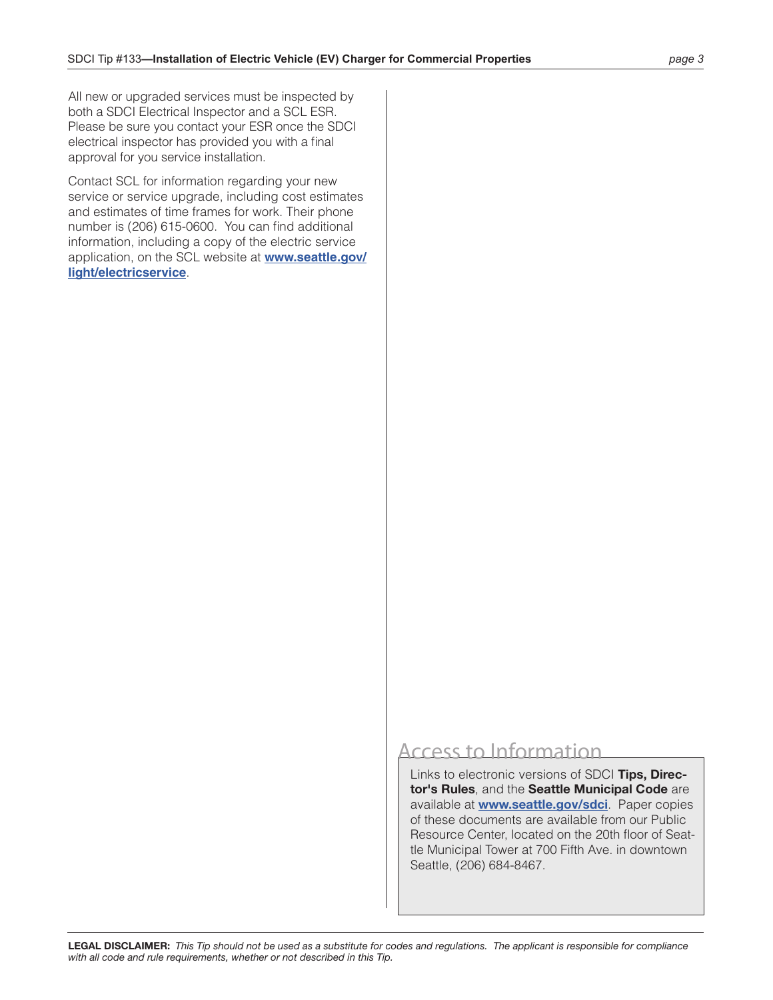All new or upgraded services must be inspected by both a SDCI Electrical Inspector and a SCL ESR. Please be sure you contact your ESR once the SDCI electrical inspector has provided you with a final approval for you service installation.

Contact SCL for information regarding your new service or service upgrade, including cost estimates and estimates of time frames for work. Their phone number is (206) 615-0600. You can find additional information, including a copy of the electric service application, on the SCL website at **[www.seattle.gov/](http://www.seattle.gov/light/electricservice) [light/electricservice](http://www.seattle.gov/light/electricservice)**.

# Access to Information

Links to electronic versions of SDCI **Tips, Director's Rules**, and the **Seattle Municipal Code** are available at **[www.seattle.gov/sdci](http://www.seattle.gov/sdci)**. Paper copies of these documents are available from our Public Resource Center, located on the 20th floor of Seattle Municipal Tower at 700 Fifth Ave. in downtown Seattle, (206) 684-8467.